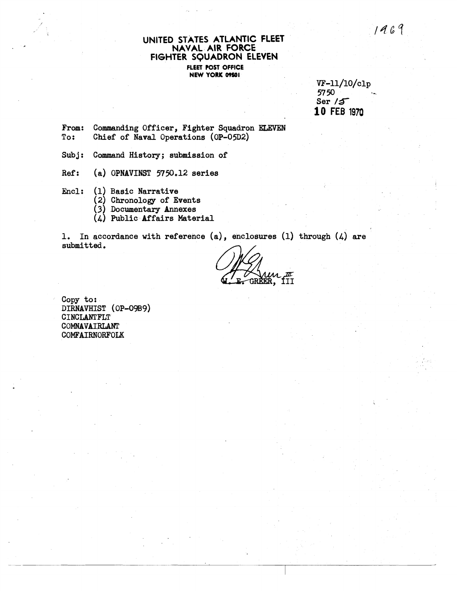1467

#### UNITED STATES ATLANTIC FLEET **NAVAL AIR FORCE FIGHTER SQUADRON ELEVEN FLEET POST OFFICE NEW YORK 09601**

w-ll/lO/clp 57 **50** - Ser **/S 10** FEB **1970** 

From: Commanding Officer, Fighter Squadron **ELEVEN** To: Chief of Naval Operations (OP-05D2) Chief of Naval Operations (OP-05D2)

Subj: Command History; submission of

Ref: (a) OPNAVINST 5750.12 series

Encl: (1) Basic Narrative

(2) Chronology of Events

 $(3)$  Documentary Annexes

(4) Public Affairs Material

1. In accordance with reference **(a),** enclosures (1) through (4) are submitted.

<u>fii</u>

Copy to: DIRNAVHIST (OP-09B9) **CINCLANTFLT** COMNAVAIRLANT COMFAIRNORFOLK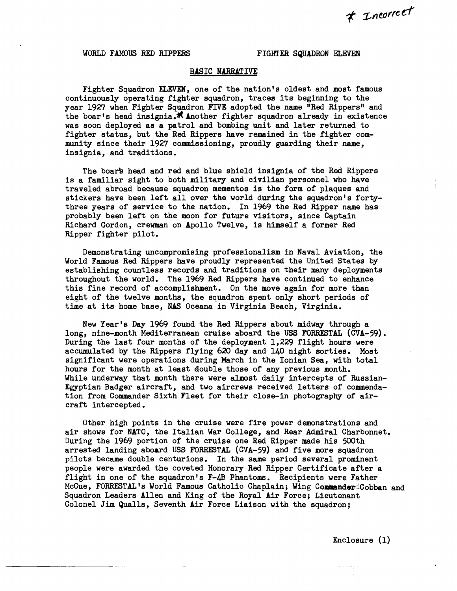#### WORLD FAMOUS RED RIPPERS FIGHTER SQUADRON ELEVEN

#### **BASIC NARRATIVE**

Fighter Squadron ELEVEN, one of the nation's oldest and most famous continuously operating fighter squadron, traces its beginning to the year 1927 when Fighter Squadron FIVE adopted the name "Red Rippers" and the boar's head insignia. K Another fighter squadron already in existence was soon deployed as a patrol and bombing unit and later returned to fighter status, but the Red Rippers have remained in the fighter community since their 1927 commissioning, proudly guarding their name, insignia, and traditions.

The boar's head and red and blue shield insignia of the Red Rippers is a familiar sight to both military and civilian personnel who have traveled abroad because squadron mementos is the form of plaques and stickers have been left all over the world during the squadron's fortythree years of service to the nation. In 1969 the Red Ripper name has probably been left on the moon for future visitors, since Captain Richard Gordon, crewman on Apollo Twelve, is himself a former Red Ripper fighter pilot.

Demonstrating uncompromising professionalism in Naval Aviation, the World Famous Red Rippers have proudly represented the United States by establishing countless records and traditions on their many deployments throughout the world. The 1969 Red Rippers have continued to enhance this fine record of accomplishment. On the move again for more than eight of the twelve months, the squadroh spent only short periods of time at its home base, **NAS** Oceana in Vitginia Beach, Virginia.

New Year's Day 1969 found the Red Rippers about midway through a long, nine-month Mediterranean cruise aboard the **USS FORRESTAL** (CVA-59) . During the last four months of the deployment 1,229 flight hours were accumulated by the Rippers flying 620 **day** and 140 night sorties. Most significant were operations during March in the Ionian Sea, with total hours for the month at least double those of any previous month. While underway that month there were almost daily intercepts of Russian-Egyptian Badger aircraft, and two aircrews received letters of commendation from Commander Sixth Fleet for their close-in photography of aircraft intercepted.

Other high points in the cruise were fire power demonstrations and air shows for NATO, the Italian War College, and Rear Admiral Charbonnet. During the 1969 portion of the cruise one Red Ripper made his 500th arrested landing aboard USS FORRESTAL (CVA-59) and five more squadron pilots became double centurions. In the same period several prominent people were awarded the coveted Honorary Red Ripper Certificate after a flight in one of the squadron's F-4B Phantoms. Recipients were Father McCue, FORRESTAL's World Famous Catholic Chaplain; Wing CommanderdCobban and Squadron Leaders Allen and King of the Royal Air Force; Lieutenant Colonel Jim Qualls, Seventh Air Force Liaison with the squadron;

Enclosure (1)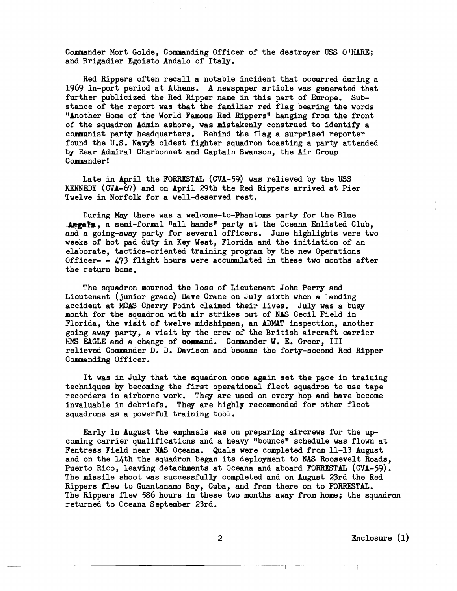Commander Mort Golde, Commanding Officer of the destroyer **USS OIHARE;**  and Brigadier Egoisto Andalo of Italy.

Red Rippers often recall a notable incident that occurred during a 1969 in-port period at Athens. A newspaper article was generated that further publicized the Red Ripper name in this part of Europe. Substance of the report was that the familiar red flag bearing the words "Another Home of the World Famous Red Rippers" hanging from the front of the squadron Admin ashore, was mistakenly construed to identify a communist party headquarters. Behind the flag a surprised reporter found the U.S. Navyb oldest fighter squadron toasting a party attended by Rear Admiral Charbonnet and Captain Swanson, the Air Group Commander **l** 

Late in April the FORRESTAL (CVA-59) was relieved by the USS KENNEm (CVA-67) and on April 29th the **Red** Rippers arrived at Pier Twelve in Norfolk for a well-deserved rest.

During May there was a welcome-to-Phantoms party for the Blue -  $\Delta$ ngels, a semi-formal "all hands" party at the Oceana Enlisted Club, and a going-away party for several officers. June highlights were two weeks of hot pad duty in **Key** West, Florida and the initiation of an elaborate, tactics-oriented training program by the new Operations Officer- -  $473$  flight hours were accumulated in these two months after the return home.

The squadron mourned the loss of Lieutenant John Perry and Lieutenant (junior grade) Dave Crane on July sixth when a landing accident at MCAS Cherry Point claimed their lives. July was a busy month for the squadron with air strikes out of **HAS** Cecil Field in Florida, the visit of twelve midshipmen, an ADMAT inspection, another going away party, a visit by the crew of the British aircraft carrier HMS EAGLE and a change of command. Commander W. E. Greer, **III** relieved Commander D. D. Davison and became the forty-second Red Ripper Commanding Officer.

It was in July that the squadron once again set the pace in training techniques by becoming the first operational fleet squadron to use tape recorders in airborne work. They are used on every hop and have become invaluable in debriefs. They are highlp recommended for other fleet squadrons a8 a powerful training tool.

Early in August the emphasis was on preparing aircrews for the upcoming carrier qualifications and a heavy "bounce" schedule was flown at Fentress Field near **NAS** Oceana. Quals were completed from 11-13 August and on the Uth the squadron began its deployment to **NAS** Roosevelt Roads, Puerto Rico, leaving detachments at Oceana and aboard **FORRESTAL** (CVA-59). The missile shoot was successfully completed and on August 23rd the Red Rippers flew to Guantanamo Bay, Cuba, and from there on to FORRESTAL. The Rippers flew 586 hours in these two months away from home; the squadron returned to Oceana September 23rd.

2 Enclosure (1)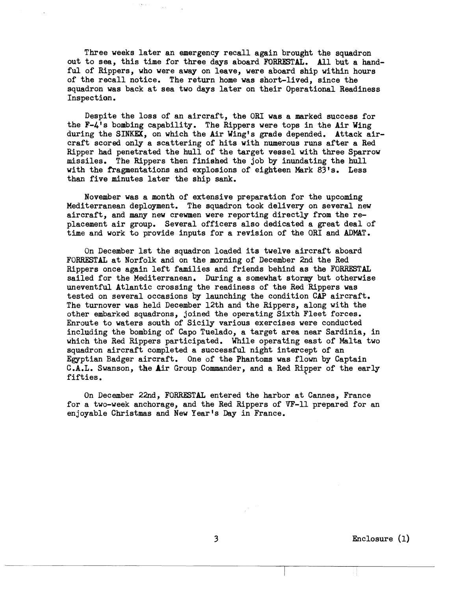Three weeks later an emergency recall again brought the squadron out to sea, this time for three days aboard FORRESTAL. All but a handful of Rippers, who were away on leave, were aboard ship within hours of the recall notice. The return home was short-lived, since the squadron was back at sea two days later on their Operational Readiness Inspection.

Despite the loss of an aircraft, the OR1 was a marked success for the F-4's bombing capability. The Rippers were tops in the Air Wing during the **SINKEX,** on which the Air Wing's grade depended. Attack aircraft scored only a scattering of hits with numerous runs after a Red Ripper had penetrated the hull of the target vessel with three Sparrow missiles. The Rippers then finished the job by inundating the hull with the Fragmentations and explosions of eighteen Mark 83's. Less than five minutes later the ship sank.

November was a month of extensive preparation for the upcoming Mediterranean deployment. The squadron took delivery on several new aircraft, and many new crewmen were reporting directly from the replacement air group. Several officers also dedicated a great deal of time and work to provide inputs for a revision of the ORI and ADMAT.

On December 1st the squadron loaded its twelve aircraft aboard FORR.ESTAL at Norfolk and on the morning of December 2nd the Red Rippers once again left families and friends behind as the FORRESTAL sailed for the Mediterranean. During a somewhat stormy but otherwise uneventful Atlantic crossing the readiness of the Red Rippers was tested on several occasions by launching the condition CAP aircraft. The turnover was held December 12th and the Rippers, along with the other embarked squadrons, joined the operating Sixth Fleet forces. Enroute to waters south of Sicily various exercises were conducted including the bombing of Capo Tuelado, a target area near Sardinia, in which the Red Rippers participated. While operating east of Malta two squadron aircraft completed a successful night intercept of an Egyptian Badger aircraft. One of the Phantoms was flown by Captain **C.A.L.** Swanson, the Air Group Commander, and a Red Ripper of the early fifties.

On December 22nd, FORRESTAL entered the harbor at Cannes, France for a two-week anchorage, and the Red Rippers of VF-11 prepared for an enjoyable Christmas and New Year's Day in France. i the harbor at Cannes, France<br>Rippers of VF-11 prepared for an<br>in France.<br>Enclosure (1)

3 Enclosure (1)

-- --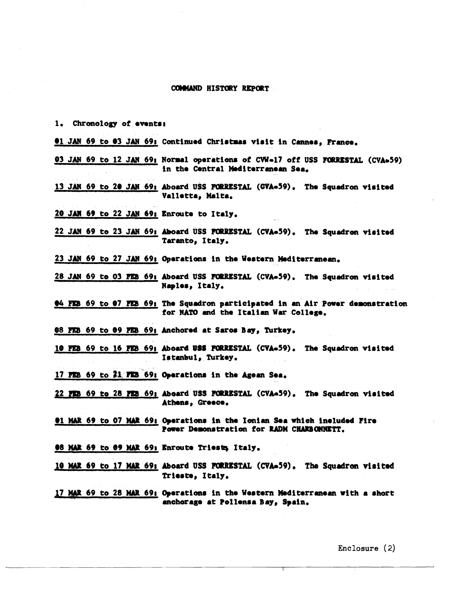#### **COMMAND HISTORY REPORT**

- 1. Chronology of events:
- 01 JAN 69 to 03 JAN 69: Continued Christmas visit in Cannes, France.
- 03 JAN 69 to 12 JAN 69; Normal operations of CVW-17 off USS FORRESTAL (CVA+59) in the Central Mediterranean Sea.
- 13 JAN 69 to 20 JAN 69: Aboard USS FORRESTAL (GVA-59). The Squadron visited Valletta, Malta.
- 20 JAN 69 to 22 JAN 69; Enroute to Italy.
- 22 JAN 69 to 23 JAN 69: Aboard USS FORRESTAL (CVA-59). The Squadron visited Taranto, Italy.
- 23 JAN 69 to 27 JAN 69: Operations in the Western Mediterranean.
- 28 JAN 69 to 03 FEB 69: Aboard USS FORRESTAL (CVA-59). The Squadron visited Naples, Italy.
- 04 FEB 69 to 07 FEB 69: The Squadron participated in an Air Power demonstration for NATO and the Italian War College.
- 08 FEB 69 to 09 FEB 69: Anchored at Saros Bay, Turkey.
- 10 FEB 69 to 16 FEB 69: Aboard USS FORRESTAL (CVA-59). The Squadron visited Istanbul, Turkey.
- 17 FEB 69 to 21 FEB 69: Operations in the Agean Sea.
- 22 FEB 69 to 28 FEB 69; Aboard USS FORRESTAL (CVA-59). The Squadron visited Athens, Greece.
- 01 MAR 69 to 07 MAR 69: Operations in the Ionian Sea which included Fire Power Demonstration for RADM CHARBONNETT.
- 08 MAR 69 to 09 MAR 69: Enroute Triests, Italy.
- 10 MAR 69 to 17 MAR 69: Aboard USS FORRESTAL (CVA-59). The Squadron visited Trieste, Italy.
- 17 MAR 69 to 28 MAR 69; Operations in the Western Mediterranean with a short anchorage at Pollensa Bay, Spain.

Enclosure (2)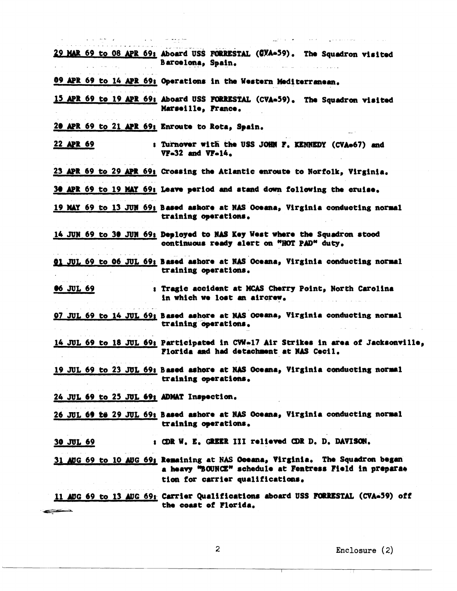|                                                 | 29 MAR 69 to 08 APR 69; Aboard USS FORRESTAL (CYA-59). The Squadron visited<br>Barcelona, Spain.                                                                             |
|-------------------------------------------------|------------------------------------------------------------------------------------------------------------------------------------------------------------------------------|
|                                                 |                                                                                                                                                                              |
|                                                 | 09 APR 69 to 14 APR 69: Operations in the Western Mediterranean.                                                                                                             |
|                                                 | 15 APR 69 to 19 APR 69: Aboard USS FORRESTAL (CVA-59). The Squadron visited<br>Marseille, France.                                                                            |
| 20 APR 69 to 21 APR 69; Enroute to Rota, Spain. |                                                                                                                                                                              |
| 22 APR 69                                       | : Turnover with the USS JOHN F. KENNEDY (CVA=67) and<br>$VF-32$ and $VF-14.$                                                                                                 |
|                                                 | 23 APR 69 to 29 APR 69: Crossing the Atlantic enroute to Norfolk, Virginia.                                                                                                  |
|                                                 | 30 APR 69 to 19 MAY 69: Leave period and stand down following the cruise.                                                                                                    |
|                                                 | 19 MAY 69 to 13 JUN 69; Based ashore at NAS Oceana, Virginia conducting normal<br>training operations.                                                                       |
|                                                 | 14 JUN 69 to 30 JUN 69: Deployed to NAS Key West where the Squadron stood<br>continuous ready alert on "HOT PAD" duty.                                                       |
|                                                 | 01 JUL 69 to 06 JUL 69; Based ashore at NAS Oceana, Virginia conducting normal<br>training operations.                                                                       |
| <b>06 JUL 69</b>                                | : Tragic accident at MCAS Cherry Point, North Carolina<br>in which we lost an aircrew.                                                                                       |
|                                                 | 97 JUL 69 to 14 JUL 69; Based ashore at NAS OGeana, Virginia conducting normal<br>training operations.                                                                       |
|                                                 | 14 JUL 69 to 18 JUL 69; Participated in CWW-17 Air Strikes in area of Jacksonville,<br>Florida and had detachment at NAS Cecil.                                              |
|                                                 | 19 JUL 69 to 23 JUL 69: Based ashore at NAS Oceana, Virginia conducting normal<br>training operations.                                                                       |
| 24 JUL 69 to 25 JUL 69: ADMAT Inspection.       |                                                                                                                                                                              |
|                                                 | 26 JUL 69 te 29 JUL 69: Based ashore at NAS Oceana, Virginia conducting normal<br>training operations.                                                                       |
| 30 JUL 69                                       | : CDR W. E. GREER III relieved CDR D. D. DAVISON.                                                                                                                            |
|                                                 | 31 AUG 69 to 10 AUG 69; Remaining at NAS Oceana, Virginia. The Squadron began<br>a heavy "BOUNCE" schedule at Fentress Field in preparae<br>tion for carrier qualifications. |
| <u> Francis – A</u>                             | 11 AUG 69 to 13 AUG 69: Carrier Qualifications aboard USS FORRESTAL (CVA-59) off<br>the coast of Florida.                                                                    |

 $\mathcal{A}$ 

Enclosure (2)

√.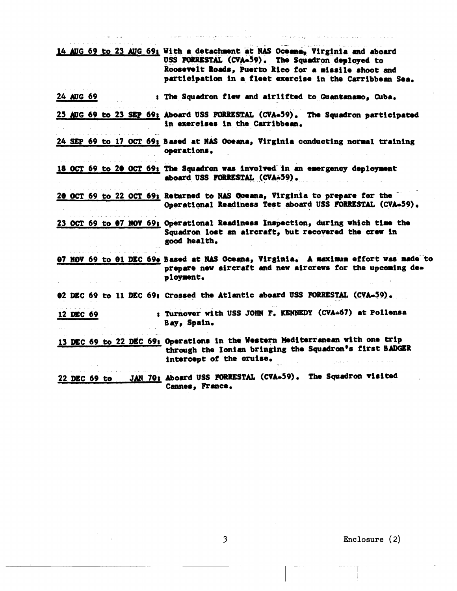|              |  |  | 14 AUG 69 to 23 AUG 69; With a detachment at NAS Oceana, Virginia and aboard<br>USS FORRESTAL (CVA-59). The Squadron deployed to<br>Roosevelt Roads, Puerto Rico for a missile shoot and<br>participation in a fleet exercise in the Carribbean Sea. |
|--------------|--|--|------------------------------------------------------------------------------------------------------------------------------------------------------------------------------------------------------------------------------------------------------|
| 24 AUG 69    |  |  | : The Squadron flew and airlifted to Guantanamo, Cuba.                                                                                                                                                                                               |
|              |  |  | 25 AUG 69 to 23 SEP 69; Aboard USS FORRESTAL (CVA-59). The Squadron participated<br>in exercises in the Carribbean.                                                                                                                                  |
|              |  |  | 24 SEP 69 to 17 OCT 69; Based at NAS Oceana, Virginia conducting normal training<br>operations.                                                                                                                                                      |
|              |  |  | 18 OCT 69 to 20 OCT 69: The Squadron was involved in an emergency deployment<br>aboard USS FORRESTAL (CVA-59).                                                                                                                                       |
|              |  |  | 20 OCT 69 to 22 OCT 69; Returned to NAS Oceana, Virginia to prepare for the<br>Operational Readiness Test aboard USS FORRESTAL (CVA-59).                                                                                                             |
|              |  |  | 23 OCT 69 to 07 NOV 69; Operational Readiness Inspection, during which time the<br>Squadron lost an aircraft, but recovered the crew in<br>good health.                                                                                              |
|              |  |  | 07 NOV 69 to 01 DEC 690 Based at NAS Oceana, Virginia. A maximum effort was made to<br>prepare new aircraft and new aircrews for the upcoming de-<br>ployment.                                                                                       |
|              |  |  | 02 DEC 69 to 11 DEC 69; Crossed the Atlantic aboard USS FORRESTAL (CVA-59).                                                                                                                                                                          |
| 12 DEC 69    |  |  | : Turnover with USS JOHN F. KENNEDY (CVA-67) at Pollensa<br>Bay, Spain.                                                                                                                                                                              |
|              |  |  | 13 DEC 69 to 22 DEC 69: Operations in the Western Mediterranean with one trip<br>through the Ionian bringing the Squadron's first BADGER<br>intercept of the cruise.                                                                                 |
| 22 DEC 69 to |  |  | JAN 70: Aboard USS FORRESTAL (CVA-59). The Squadron visited<br>Cannes, France.                                                                                                                                                                       |

 $\mathbb{R}^{n}$ 

an to see

 $\frac{1}{2}$  , and  $\frac{1}{2}$  , and  $\frac{1}{2}$  , and  $\frac{1}{2}$  , and  $\frac{1}{2}$ 

 $\sim$ 

 $\label{eq:2} \frac{1}{\sqrt{2}}\frac{1}{\sqrt{2}}\int_{0}^{\infty}\frac{1}{\sqrt{2}}\left(\frac{1}{\sqrt{2}}\right)^{2}d\theta.$ 

 $\frac{1}{2}$  .

di mandri sultan di mandri di sultan di sultan di sultan di sultan di sultan di sultan di sultan di sultan di <br>Sultan di sultan di sultan di sultan di sultan di sultan di sultan di sultan di sultan di sultan di sultan di

**3 Enclosure** ( **2)** 

والراقات ولاعات والتهوين المعتودة والمراقبة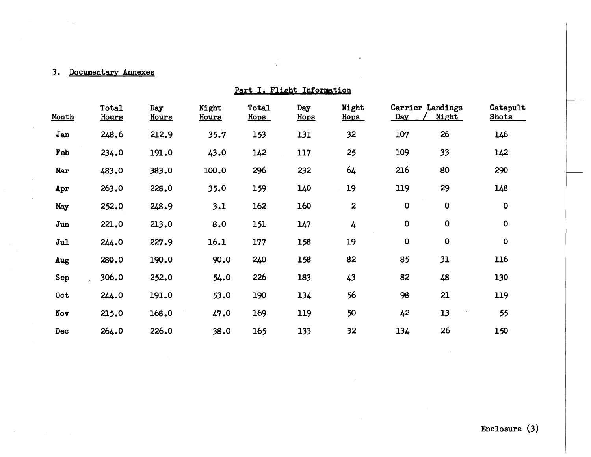## 3. Documentary Annexes

 $\sim$ 

| Part I, Flight Information |                       |              |                |               |             |                  |             |                           |                          |  |
|----------------------------|-----------------------|--------------|----------------|---------------|-------------|------------------|-------------|---------------------------|--------------------------|--|
| Month                      | Total<br><b>Hours</b> | Day<br>Hours | Night<br>Hours | Total<br>Hops | Day<br>Hops | Night<br>Hops    | Day         | Carrier Landings<br>Night | Catapult<br><b>Shots</b> |  |
| Jan                        | 248.6                 | 212.9        | 35.7           | 153           | 131         | 32               | 107         | 26                        | 146                      |  |
| Feb                        | 234.0                 | 191.0        | 43.0           | 142           | 117         | 25               | 109         | 33                        | 142                      |  |
| Mar                        | 483.0                 | 383.0        | 100.0          | 296           | 232         | 64               | 216         | 80                        | 290                      |  |
| Apr                        | 263.0                 | 228.0        | 35.0           | 159           | 140         | 19               | 119         | 29                        | 148                      |  |
| May                        | 252.0                 | 248.9        | 3.1            | 162           | 160         | $\boldsymbol{2}$ | $\mathbf 0$ | $\mathbf 0$               | $\mathbf 0$              |  |
| Jun                        | 221.0                 | 213.0        | 8.0            | 151           | 147         | 4                | 0           | $\mathbf 0$               | $\mathbf 0$              |  |
| Jul                        | 244.0                 | 227.9        | 16.1           | 177           | 158         | 19               | $\mathbf 0$ | $\mathbf 0$               | $\mathbf 0$              |  |
| Aug                        | 280.0                 | 190.0        | 90.0           | 240           | 158         | 82               | 85          | 31                        | 116                      |  |
| Sep                        | 306.0                 | 252.0        | 54.0           | 226           | 183         | 43               | 82          | 48                        | 130                      |  |
| 0ct                        | 244.0                 | 191.0        | 53.0           | 190           | 134         | 56               | 98          | 21                        | 119                      |  |
| Nov                        | 215.0                 | 168.0        | 47.0           | 169           | 119         | 50               | 42          | 13                        | 55                       |  |
| Dec                        | 264.0                 | 226.0        | 38.0           | 165           | 133         | 32               | 134         | 26                        | 150                      |  |

 $\bullet$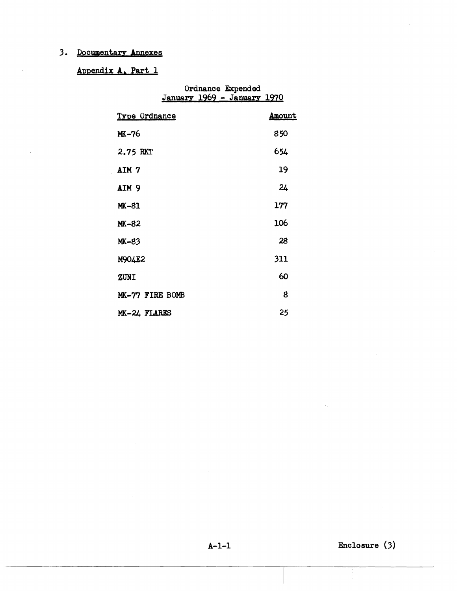## **3. Documentars Annexes**

# Appendix A. Part 1

|                      | Ordnance Expended<br>January 1969 - January 1970 |  |  |  |  |  |
|----------------------|--------------------------------------------------|--|--|--|--|--|
| <u>Type Ordnance</u> | <u>Amount</u>                                    |  |  |  |  |  |
| MK-76                | 850                                              |  |  |  |  |  |
| 2.75 RKT             | 654                                              |  |  |  |  |  |
| AIM 7                | 19                                               |  |  |  |  |  |
| AIM <sub>9</sub>     | 24                                               |  |  |  |  |  |
| MK-81                | 177                                              |  |  |  |  |  |
| MK-82                | 106                                              |  |  |  |  |  |
| MK-83                | 28                                               |  |  |  |  |  |
| M904E2               | 311                                              |  |  |  |  |  |
| ZUNI                 | 60                                               |  |  |  |  |  |
| MK-77 FIRE BOMB      | 8                                                |  |  |  |  |  |
| MK-24 FLARES         | 25                                               |  |  |  |  |  |

**8-1-1 Enclosure (3)**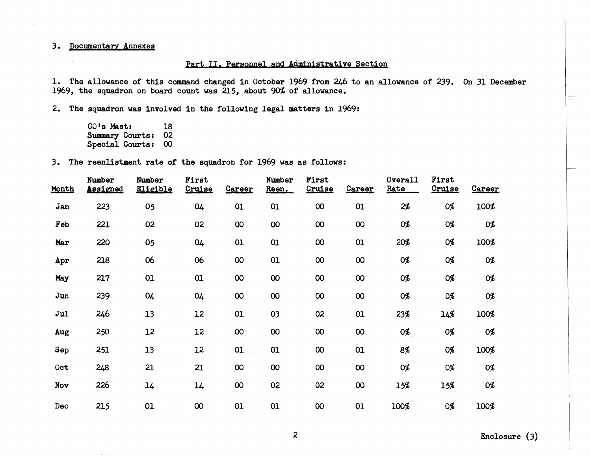### **3. Documentary Annexes**

#### Part II. Personnel and Administrative Section

1. The allowance of this command changed in October 1969 from 246 to an allowance of 239. On 31 December **1969, the squadron on board count was 215, about 90% of allowance.** 

**2. The squadron was involved in the following legal matters in 1969:** 

**CO's Mast: 18 Summary Courts: 02 Special Courts: 00** 

**3. The reenlistment rate of the squadron for 1969 was as follows:** 

| Month           | Number<br><b>Assigned</b> | Number<br><b>Eligible</b> | First<br>Cruise | Career          | Number<br>Reen. | First<br>Cruise            | <b>Career</b> | Overall<br>Rate | First<br>Cruise | <b>Career</b> |
|-----------------|---------------------------|---------------------------|-----------------|-----------------|-----------------|----------------------------|---------------|-----------------|-----------------|---------------|
| Jan             | 223                       | 05                        | 04              | 01              | 01              | $\boldsymbol{\mathsf{00}}$ | 01            | $2\%$           | 0%              | 100%          |
| Feb             | 221                       | 02                        | 02              | $\overline{O}O$ | 00              | $\infty$                   | $\infty$      | 0%              | 0%              | 0%            |
| Mar             | 220                       | 05                        | 04              | 01              | O1              | $\boldsymbol{\infty}$      | 01            | 20%             | 0%              | 100%          |
| Apr             | 218                       | 06                        | 06              | $\infty$        | 01              | $\boldsymbol{\infty}$      | 00            | 0%              | 0%              | 0%            |
| May             | 217                       | 01                        | 01              | $\infty$        | 00              | $\overline{00}$            | 00            | 0%              | 0%              | 0%            |
| Jun             | 239                       | 04                        | 04              | 00              | 00              | $\infty$                   | $\infty$      | 0%              | 0%              | 0%            |
| J <sub>ul</sub> | 246                       | 13                        | 12              | 01              | 03              | 02                         | 01            | 23%             | 14%             | 100%          |
| Aug             | 250                       | 12                        | 12              | 00              | 00              | $\overline{00}$            | 00            | 0%              | 0%              | 0%            |
| Sep             | 251                       | 13                        | 12              | O1              | 01              | $\infty$                   | 01            | 8%              | 0%              | 100%          |
| 0ct             | 248                       | 21                        | 21              | $\infty$        | $\infty$        | 00                         | <b>OO</b>     | 0%              | 0%              | 0%            |
| Nov             | 226                       | 14                        | 14              | $\infty$        | 02              | 02                         | $\infty$      | 15%             | 15%             | 0%            |
| Dec             | 215                       | 01                        | $\infty$        | O1              | 01              | $\infty$                   | 01            | 100%            | 0%              | 100%          |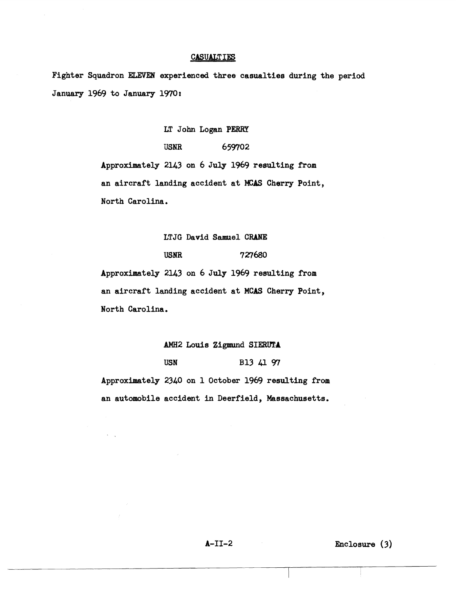#### CASUALTIES

Fighter Squadron **ELEVEN** experienced three casualties during the period January 1969 to January 1970:

LT John **Logan PERRY** 

USNR 659702 Approximately 2143 on 6 **July** 1969 resulting from an aircraft landing accident at **KAS** Cherry Point, North Carolina.

#### **LTJG** David **Samuel CRANE**

**USNR 727680** 

Approximately 2143 on 6 July 1969 resulting from an aircraft landing accident at **MCAS** Cherry Point, North Carolina,

BEW2 Louis **Zigmund SIERUTA** 

USN B13 *41* **9'7** 

Approximately 2340 on 1 October 1969 resulting from an automobile accident in Deerfield, Massachusetts.

A-11-2 Enclosure **(3)**